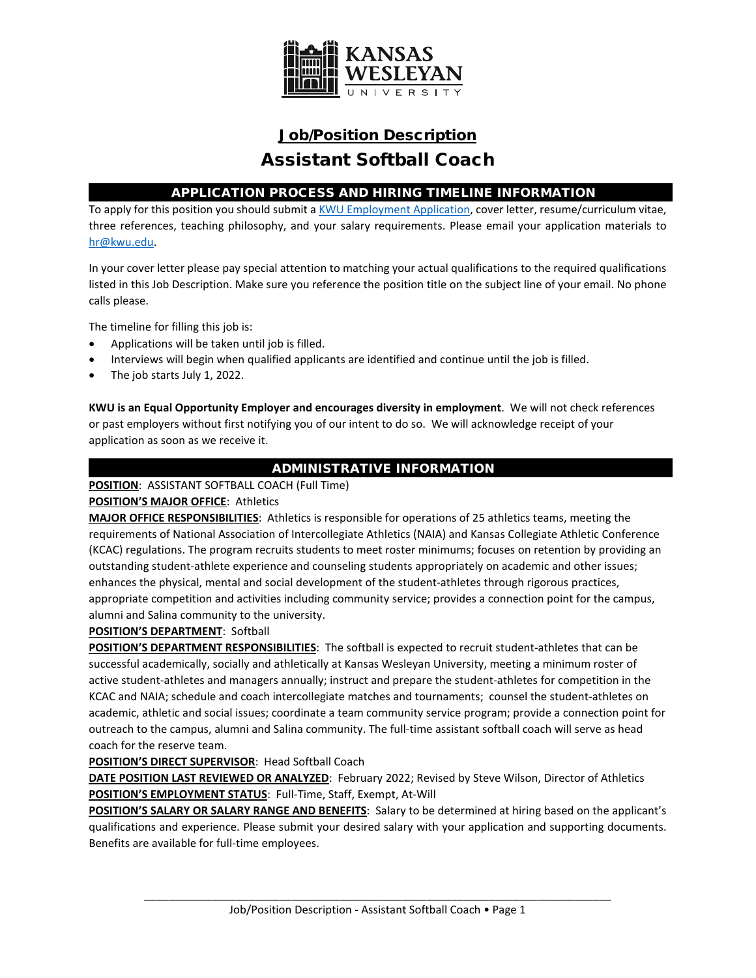

# Job/Position Description Assistant Softball Coach

## APPLICATION PROCESS AND HIRING TIMELINE INFORMATION

To apply for this position you should submit [a KWU Employment Application,](https://www.kwu.edu/wp-content/uploads/Employment-Application-Form-ELECTRONIC-Revised-3-.pdf) cover letter, resume/curriculum vitae, three references, teaching philosophy, and your salary requirements. Please email your application materials to [hr@kwu.edu.](mailto:hr@kwu.edu)

In your cover letter please pay special attention to matching your actual qualifications to the required qualifications listed in this Job Description. Make sure you reference the position title on the subject line of your email. No phone calls please.

The timeline for filling this job is:

- Applications will be taken until job is filled.
- Interviews will begin when qualified applicants are identified and continue until the job is filled.
- The job starts July 1, 2022.

**KWU is an Equal Opportunity Employer and encourages diversity in employment**. We will not check references or past employers without first notifying you of our intent to do so. We will acknowledge receipt of your application as soon as we receive it.

# ADMINISTRATIVE INFORMATION

**POSITION**: ASSISTANT SOFTBALL COACH (Full Time)

## **POSITION'S MAJOR OFFICE**: Athletics

**MAJOR OFFICE RESPONSIBILITIES**: Athletics is responsible for operations of 25 athletics teams, meeting the requirements of National Association of Intercollegiate Athletics (NAIA) and Kansas Collegiate Athletic Conference (KCAC) regulations. The program recruits students to meet roster minimums; focuses on retention by providing an outstanding student-athlete experience and counseling students appropriately on academic and other issues; enhances the physical, mental and social development of the student-athletes through rigorous practices, appropriate competition and activities including community service; provides a connection point for the campus, alumni and Salina community to the university.

**POSITION'S DEPARTMENT**: Softball

**POSITION'S DEPARTMENT RESPONSIBILITIES**: The softball is expected to recruit student-athletes that can be successful academically, socially and athletically at Kansas Wesleyan University, meeting a minimum roster of active student-athletes and managers annually; instruct and prepare the student-athletes for competition in the KCAC and NAIA; schedule and coach intercollegiate matches and tournaments; counsel the student-athletes on academic, athletic and social issues; coordinate a team community service program; provide a connection point for outreach to the campus, alumni and Salina community. The full-time assistant softball coach will serve as head coach for the reserve team.

#### **POSITION'S DIRECT SUPERVISOR**: Head Softball Coach

**DATE POSITION LAST REVIEWED OR ANALYZED**: February 2022; Revised by Steve Wilson, Director of Athletics **POSITION'S EMPLOYMENT STATUS**: Full-Time, Staff, Exempt, At-Will

**POSITION'S SALARY OR SALARY RANGE AND BENEFITS**: Salary to be determined at hiring based on the applicant's qualifications and experience. Please submit your desired salary with your application and supporting documents. Benefits are available for full-time employees.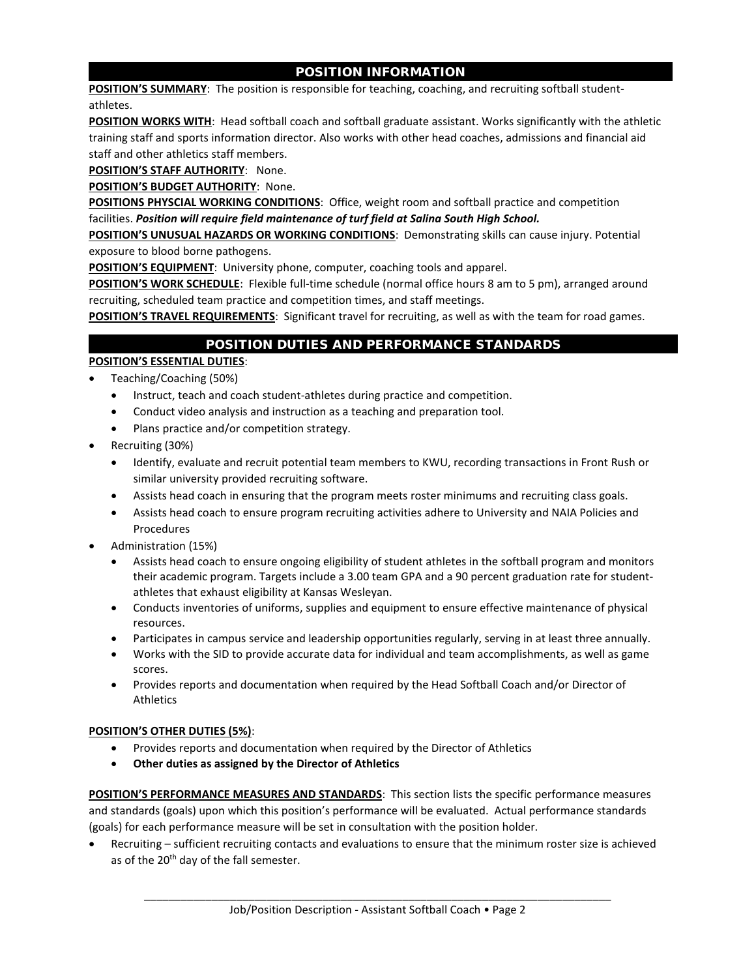## POSITION INFORMATION

**POSITION'S SUMMARY**: The position is responsible for teaching, coaching, and recruiting softball studentathletes.

**POSITION WORKS WITH:** Head softball coach and softball graduate assistant. Works significantly with the athletic training staff and sports information director. Also works with other head coaches, admissions and financial aid staff and other athletics staff members.

**POSITION'S STAFF AUTHORITY**: None.

**POSITION'S BUDGET AUTHORITY**: None.

**POSITIONS PHYSCIAL WORKING CONDITIONS**: Office, weight room and softball practice and competition facilities. *Position will require field maintenance of turf field at Salina South High School.*

**POSITION'S UNUSUAL HAZARDS OR WORKING CONDITIONS**: Demonstrating skills can cause injury. Potential exposure to blood borne pathogens.

**POSITION'S EQUIPMENT**: University phone, computer, coaching tools and apparel.

**POSITION'S WORK SCHEDULE**: Flexible full-time schedule (normal office hours 8 am to 5 pm), arranged around recruiting, scheduled team practice and competition times, and staff meetings.

**POSITION'S TRAVEL REQUIREMENTS:** Significant travel for recruiting, as well as with the team for road games.

## POSITION DUTIES AND PERFORMANCE STANDARDS

#### **POSITION'S ESSENTIAL DUTIES**:

- Teaching/Coaching (50%)
	- Instruct, teach and coach student-athletes during practice and competition.
	- Conduct video analysis and instruction as a teaching and preparation tool.
	- Plans practice and/or competition strategy.
- Recruiting (30%)
	- Identify, evaluate and recruit potential team members to KWU, recording transactions in Front Rush or similar university provided recruiting software.
	- Assists head coach in ensuring that the program meets roster minimums and recruiting class goals.
	- Assists head coach to ensure program recruiting activities adhere to University and NAIA Policies and Procedures
- Administration (15%)
	- Assists head coach to ensure ongoing eligibility of student athletes in the softball program and monitors their academic program. Targets include a 3.00 team GPA and a 90 percent graduation rate for studentathletes that exhaust eligibility at Kansas Wesleyan.
	- Conducts inventories of uniforms, supplies and equipment to ensure effective maintenance of physical resources.
	- Participates in campus service and leadership opportunities regularly, serving in at least three annually.
	- Works with the SID to provide accurate data for individual and team accomplishments, as well as game scores.
	- Provides reports and documentation when required by the Head Softball Coach and/or Director of Athletics

#### **POSITION'S OTHER DUTIES (5%)**:

- Provides reports and documentation when required by the Director of Athletics
- **Other duties as assigned by the Director of Athletics**

**POSITION'S PERFORMANCE MEASURES AND STANDARDS**: This section lists the specific performance measures and standards (goals) upon which this position's performance will be evaluated. Actual performance standards (goals) for each performance measure will be set in consultation with the position holder.

• Recruiting – sufficient recruiting contacts and evaluations to ensure that the minimum roster size is achieved as of the 20<sup>th</sup> day of the fall semester.